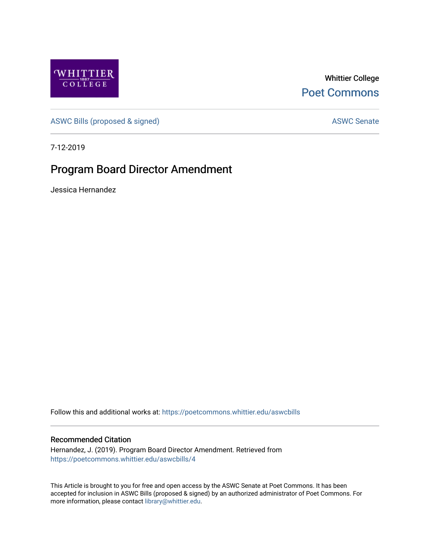

Whittier College [Poet Commons](https://poetcommons.whittier.edu/) 

[ASWC Bills \(proposed & signed\)](https://poetcommons.whittier.edu/aswcbills) ASWC Senate

7-12-2019

## Program Board Director Amendment

Jessica Hernandez

Follow this and additional works at: [https://poetcommons.whittier.edu/aswcbills](https://poetcommons.whittier.edu/aswcbills?utm_source=poetcommons.whittier.edu%2Faswcbills%2F4&utm_medium=PDF&utm_campaign=PDFCoverPages) 

## Recommended Citation

Hernandez, J. (2019). Program Board Director Amendment. Retrieved from [https://poetcommons.whittier.edu/aswcbills/4](https://poetcommons.whittier.edu/aswcbills/4?utm_source=poetcommons.whittier.edu%2Faswcbills%2F4&utm_medium=PDF&utm_campaign=PDFCoverPages) 

This Article is brought to you for free and open access by the ASWC Senate at Poet Commons. It has been accepted for inclusion in ASWC Bills (proposed & signed) by an authorized administrator of Poet Commons. For more information, please contact [library@whittier.edu.](mailto:library@whittier.edu)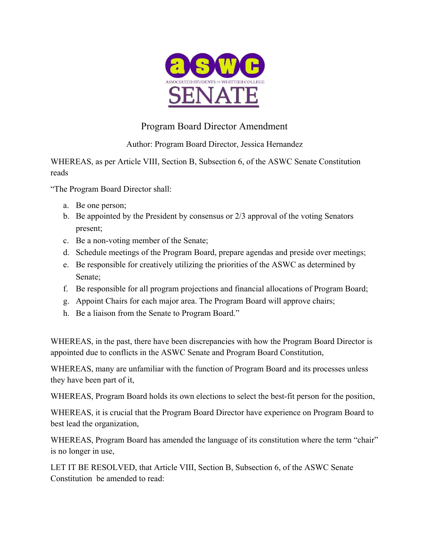

## Program Board Director Amendment

Author: Program Board Director, Jessica Hernandez

WHEREAS, as per Article VIII, Section B, Subsection 6, of the ASWC Senate Constitution reads

"The Program Board Director shall:

- a. Be one person;
- b. Be appointed by the President by consensus or 2/3 approval of the voting Senators present;
- c. Be a non-voting member of the Senate;
- d. Schedule meetings of the Program Board, prepare agendas and preside over meetings;
- e. Be responsible for creatively utilizing the priorities of the ASWC as determined by Senate;
- f. Be responsible for all program projections and financial allocations of Program Board;
- g. Appoint Chairs for each major area. The Program Board will approve chairs;
- h. Be a liaison from the Senate to Program Board."

WHEREAS, in the past, there have been discrepancies with how the Program Board Director is appointed due to conflicts in the ASWC Senate and Program Board Constitution,

WHEREAS, many are unfamiliar with the function of Program Board and its processes unless they have been part of it,

WHEREAS, Program Board holds its own elections to select the best-fit person for the position,

WHEREAS, it is crucial that the Program Board Director have experience on Program Board to best lead the organization,

WHEREAS, Program Board has amended the language of its constitution where the term "chair" is no longer in use,

LET IT BE RESOLVED, that Article VIII, Section B, Subsection 6, of the ASWC Senate Constitution be amended to read: